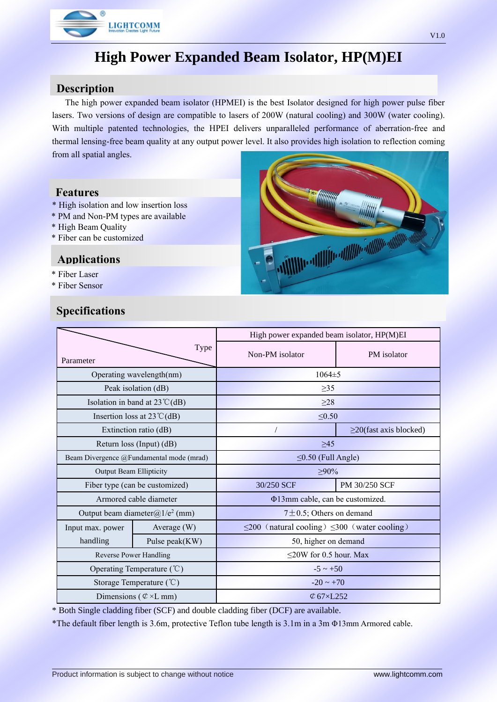

# **High Power Expanded Beam Isolator, HP(M)EI**

### **Description**

The high power expanded beam isolator (HPMEI) is the best Isolator designed for high power pulse fiber lasers. Two versions of design are compatible to lasers of 200W (natural cooling) and 300W (water cooling). With multiple patented technologies, the HPEI delivers unparalleled performance of aberration-free and thermal lensing-free beam quality at any output power level. It also provides high isolation to reflection coming from all spatial angles.

#### **Features**

- \* High isolation and low insertion loss
- \* PM and Non-PM types are available
- \* High Beam Quality
- \* Fiber can be customized

#### **Applications**

- \* Fiber Laser
- \* Fiber Sensor

# **Specifications**



| Type<br>Parameter                        |                | High power expanded beam isolator, HP(M)EI              |                              |
|------------------------------------------|----------------|---------------------------------------------------------|------------------------------|
|                                          |                | Non-PM isolator                                         | PM isolator                  |
| Operating wavelength(nm)                 |                | $1064 \pm 5$                                            |                              |
| Peak isolation (dB)                      |                | $\geq$ 35                                               |                              |
| Isolation in band at $23^{\circ}C(dB)$   |                | $\geq$ 28                                               |                              |
| Insertion loss at $23^{\circ}C(dB)$      |                | $\leq 0.50$                                             |                              |
| Extinction ratio (dB)                    |                |                                                         | $\geq$ 20(fast axis blocked) |
| Return loss (Input) (dB)                 |                | >45                                                     |                              |
| Beam Divergence @Fundamental mode (mrad) |                | $\leq$ 0.50 (Full Angle)                                |                              |
| <b>Output Beam Ellipticity</b>           |                | $>90\%$                                                 |                              |
| Fiber type (can be customized)           |                | 30/250 SCF                                              | PM 30/250 SCF                |
| Armored cable diameter                   |                | Φ13mm cable, can be customized.                         |                              |
| Output beam diameter@ $1/e^2$ (mm)       |                | $7 \pm 0.5$ ; Others on demand                          |                              |
| Input max. power                         | Average (W)    | $\leq$ 200 (natural cooling) $\leq$ 300 (water cooling) |                              |
| handling                                 | Pulse peak(KW) | 50, higher on demand                                    |                              |
| Reverse Power Handling                   |                | $\leq$ 20W for 0.5 hour. Max                            |                              |
| Operating Temperature $(\mathcal{C})$    |                | $-5 \sim +50$                                           |                              |
| Storage Temperature $(\degree C)$        |                | $-20 \sim +70$                                          |                              |
| Dimensions ( $\mathcal{C} \times L$ mm)  |                | $\mathcal{L}$ 67×L252                                   |                              |

\* Both Single cladding fiber (SCF) and double cladding fiber (DCF) are available.

\*The default fiber length is 3.6m, protective Teflon tube length is 3.1m in a 3m Φ13mm Armored cable.